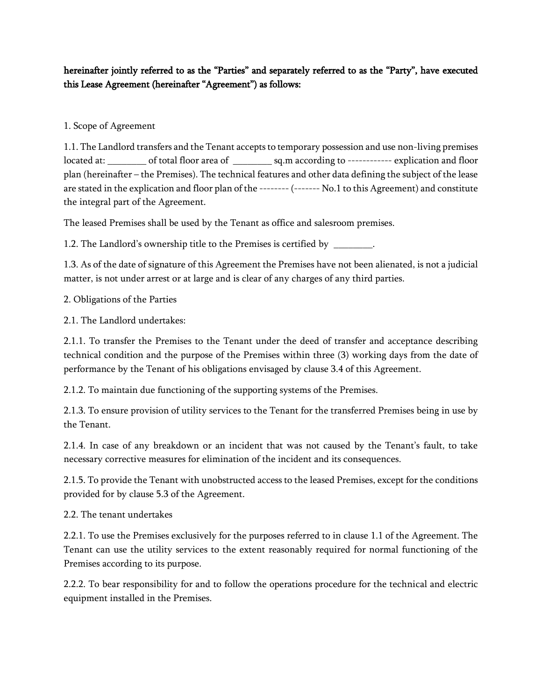## hereinafter jointly referred to as the "Parties" and separately referred to as the "Party", have executed this Lease Agreement (hereinafter "Agreement") as follows:

## 1. Scope of Agreement

1.1. The Landlord transfers and the Tenant accepts to temporary possession and use non-living premises located at: \_\_\_\_\_\_\_\_ of total floor area of \_\_\_\_\_\_\_\_ sq.m according to ------------ explication and floor plan (hereinafter – the Premises). The technical features and other data defining the subject of the lease are stated in the explication and floor plan of the -------- (------- No.1 to this Agreement) and constitute the integral part of the Agreement.

The leased Premises shall be used by the Tenant as office and salesroom premises.

1.2. The Landlord's ownership title to the Premises is certified by \_

1.3. As of the date of signature of this Agreement the Premises have not been alienated, is not a judicial matter, is not under arrest or at large and is clear of any charges of any third parties.

2. Obligations of the Parties

2.1. The Landlord undertakes:

2.1.1. To transfer the Premises to the Tenant under the deed of transfer and acceptance describing technical condition and the purpose of the Premises within three (3) working days from the date of performance by the Tenant of his obligations envisaged by clause 3.4 of this Agreement.

2.1.2. To maintain due functioning of the supporting systems of the Premises.

2.1.3. To ensure provision of utility services to the Tenant for the transferred Premises being in use by the Tenant.

2.1.4. In case of any breakdown or an incident that was not caused by the Tenant's fault, to take necessary corrective measures for elimination of the incident and its consequences.

2.1.5. To provide the Tenant with unobstructed access to the leased Premises, except for the conditions provided for by clause 5.3 of the Agreement.

2.2. The tenant undertakes

2.2.1. To use the Premises exclusively for the purposes referred to in clause 1.1 of the Agreement. The Tenant can use the utility services to the extent reasonably required for normal functioning of the Premises according to its purpose.

2.2.2. To bear responsibility for and to follow the operations procedure for the technical and electric equipment installed in the Premises.